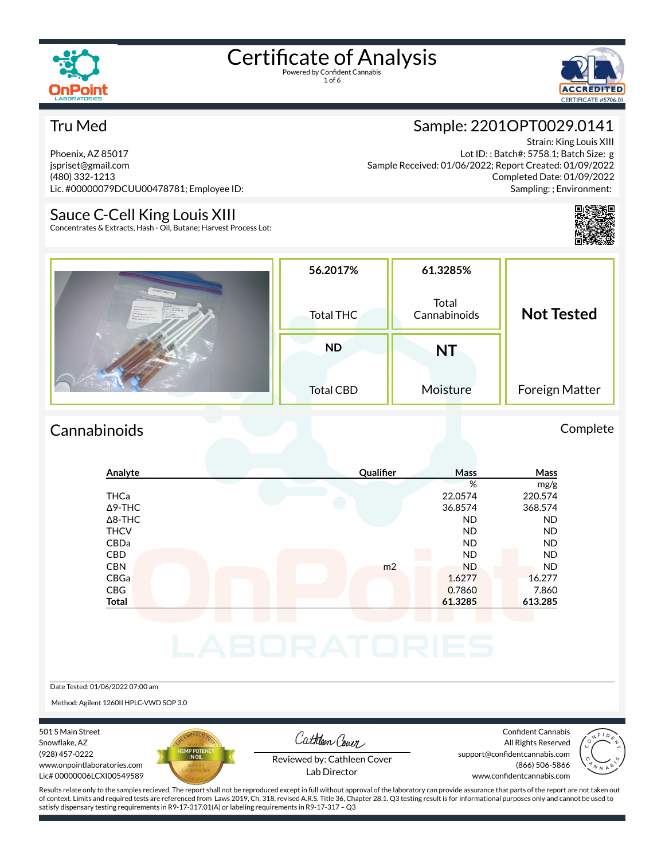



#### Tru Med

Phoenix, AZ 85017 jspriset@gmail.com (480) 332-1213 Lic. #00000079DCUU00478781; Employee ID:

#### Sauce C-Cell King Louis XIII

Concentrates & Extracts, Hash - Oil, Butane; Harvest Process Lot:

### Sample: 2201OPT0029.0141

Strain: King Louis XIII Lot ID: ; Batch#: 5758.1; Batch Size: g Sample Received: 01/06/2022; Report Created: 01/09/2022 Completed Date: 01/09/2022 Sampling: ; Environment:



|                                                                                                                                                                                                                                                                                                                       | 56.2017%         | 61.3285%              |                   |
|-----------------------------------------------------------------------------------------------------------------------------------------------------------------------------------------------------------------------------------------------------------------------------------------------------------------------|------------------|-----------------------|-------------------|
| 22010PT0029 0141<br>Antonio Museum<br>Class/Transp 12/78, 23<br><b>Dempty Ale 23 ENDIN SOCKET CITY</b><br>Kempty Alberta<br><b>OUR KIE</b><br><b>Bramy Los de</b><br><b>Shan Name: King Lives 200</b><br><b>NAME OF GROOM</b><br>Kangany Continental Edgar<br><b><i>PRODUCTIONATES</i></b><br><b>Ample Presidents</b> | <b>Total THC</b> | Total<br>Cannabinoids | <b>Not Tested</b> |
|                                                                                                                                                                                                                                                                                                                       | <b>ND</b>        | NT                    |                   |
|                                                                                                                                                                                                                                                                                                                       | <b>Total CBD</b> | Moisture              | Foreign Matter    |

#### Cannabinoids Complete

| Analyte        | Qualifier      | Mass      | Mass      |
|----------------|----------------|-----------|-----------|
|                |                | %         | mg/g      |
| <b>THCa</b>    |                | 22.0574   | 220.574   |
| $\Delta$ 9-THC |                | 36.8574   | 368.574   |
| $\Delta$ 8-THC |                | <b>ND</b> | <b>ND</b> |
| <b>THCV</b>    |                | <b>ND</b> | <b>ND</b> |
| CBDa           |                | <b>ND</b> | <b>ND</b> |
| <b>CBD</b>     |                | <b>ND</b> | <b>ND</b> |
| <b>CBN</b>     | m <sub>2</sub> | <b>ND</b> | <b>ND</b> |
| CBGa           |                | 1.6277    | 16.277    |
| CBG            |                | 0.7860    | 7.860     |
| <b>Total</b>   |                | 61.3285   | 613.285   |
|                |                |           |           |
|                |                |           |           |
|                |                |           |           |
|                |                |           |           |
|                |                |           |           |

#### Date Tested: 01/06/2022 07:00 am

Method: Agilent 1260II HPLC-VWD SOP 3.0

501 S Main Street Snowflake, AZ (928) 457-0222 www.onpointlaboratories.com Lic# 00000006LCXI00549589



Cathleen Cover

Confident Cannabis All Rights Reserved support@confidentcannabis.com (866) 506-5866



Reviewed by: Cathleen Cover Lab Director

www.confidentcannabis.com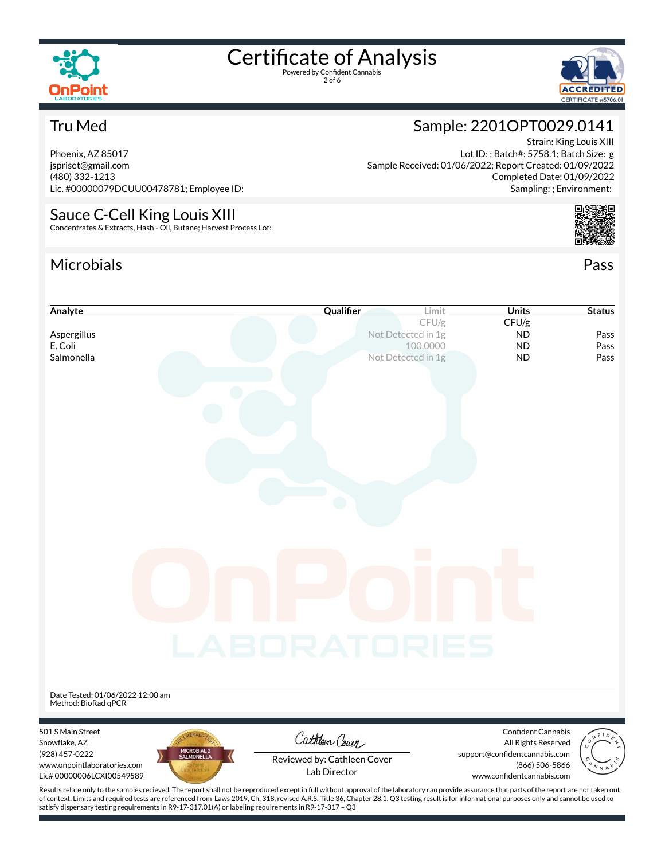

2 of 6



Strain: King Louis XIII

Sample: 2201OPT0029.0141

Sample Received: 01/06/2022; Report Created: 01/09/2022

Lot ID: ; Batch#: 5758.1; Batch Size: g

Completed Date: 01/09/2022 Sampling: ; Environment:

#### Tru Med

Phoenix, AZ 85017 jspriset@gmail.com (480) 332-1213 Lic. #00000079DCUU00478781; Employee ID:

#### Sauce C-Cell King Louis XIII Concentrates & Extracts, Hash - Oil, Butane; Harvest Process Lot:

#### Microbials Pass



| <b>Units</b>                  | <b>Status</b>                                                                                                                                                                                                                   |
|-------------------------------|---------------------------------------------------------------------------------------------------------------------------------------------------------------------------------------------------------------------------------|
| CFU/g                         |                                                                                                                                                                                                                                 |
| <b>ND</b>                     | Pass                                                                                                                                                                                                                            |
| <b>ND</b><br><b>ND</b>        | Pass<br>Pass                                                                                                                                                                                                                    |
|                               |                                                                                                                                                                                                                                 |
|                               |                                                                                                                                                                                                                                 |
|                               |                                                                                                                                                                                                                                 |
|                               |                                                                                                                                                                                                                                 |
|                               |                                                                                                                                                                                                                                 |
|                               |                                                                                                                                                                                                                                 |
|                               |                                                                                                                                                                                                                                 |
|                               |                                                                                                                                                                                                                                 |
|                               |                                                                                                                                                                                                                                 |
|                               |                                                                                                                                                                                                                                 |
|                               |                                                                                                                                                                                                                                 |
|                               |                                                                                                                                                                                                                                 |
|                               |                                                                                                                                                                                                                                 |
|                               |                                                                                                                                                                                                                                 |
|                               |                                                                                                                                                                                                                                 |
|                               |                                                                                                                                                                                                                                 |
|                               |                                                                                                                                                                                                                                 |
|                               |                                                                                                                                                                                                                                 |
|                               |                                                                                                                                                                                                                                 |
|                               |                                                                                                                                                                                                                                 |
| LABORATORIES                  |                                                                                                                                                                                                                                 |
|                               |                                                                                                                                                                                                                                 |
|                               |                                                                                                                                                                                                                                 |
|                               |                                                                                                                                                                                                                                 |
|                               |                                                                                                                                                                                                                                 |
|                               |                                                                                                                                                                                                                                 |
| Confident Cannabis            |                                                                                                                                                                                                                                 |
| All Rights Reserved           |                                                                                                                                                                                                                                 |
| support@confidentcannabis.com |                                                                                                                                                                                                                                 |
| (866) 506-5866                | N N A                                                                                                                                                                                                                           |
|                               |                                                                                                                                                                                                                                 |
|                               | www.confidentcannabis.com<br>Results relate only to the samples recieved. The report shall not be reproduced except in full without approval of the laboratory can provide assurance that parts of the report are not taken out |

of context. Limits and required tests are referenced from Laws 2019, Ch. 318, revised A.R.S. Title 36, Chapter 28.1. Q3 testing result is for informational purposes only and cannot be used to satisfy dispensary testing requirements in R9-17-317.01(A) or labeling requirements in R9-17-317 – Q3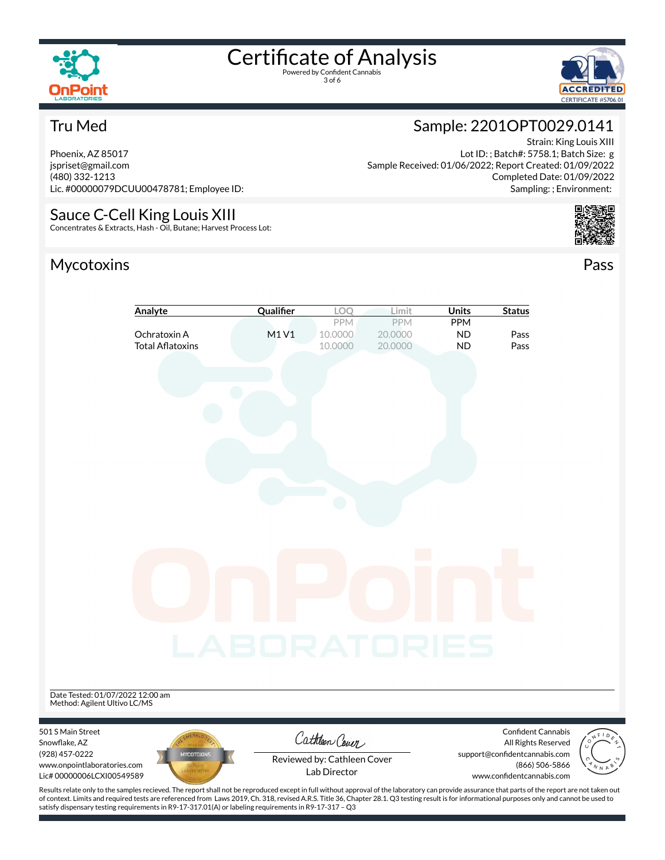

3 of 6



#### Tru Med

Phoenix, AZ 85017 jspriset@gmail.com (480) 332-1213 Lic. #00000079DCUU00478781; Employee ID:

### Sauce C-Cell King Louis XIII

Concentrates & Extracts, Hash - Oil, Butane; Harvest Process Lot:

### Mycotoxins Pass



Strain: King Louis XIII

Sample: 2201OPT0029.0141

Lot ID: ; Batch#: 5758.1; Batch Size: g



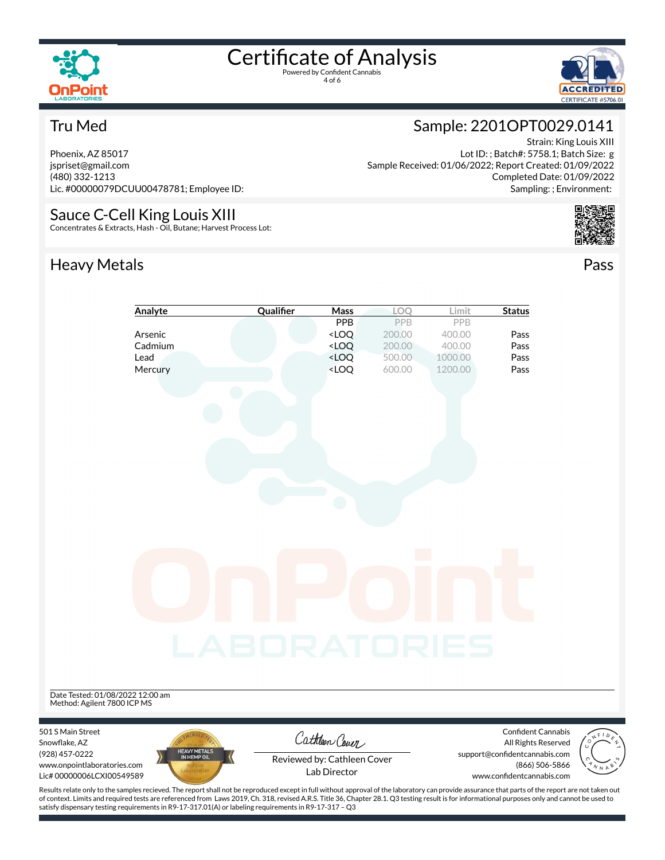

4 of 6



#### Tru Med

Phoenix, AZ 85017 jspriset@gmail.com (480) 332-1213 Lic. #00000079DCUU00478781; Employee ID:

#### Sauce C-Cell King Louis XIII

Concentrates & Extracts, Hash - Oil, Butane; Harvest Process Lot:

### Heavy Metals **Pass**

#### Sample: 2201OPT0029.0141 Strain: King Louis XIII

Lot ID: ; Batch#: 5758.1; Batch Size: g Sample Received: 01/06/2022; Report Created: 01/09/2022 Completed Date: 01/09/2022 Sampling: ; Environment:



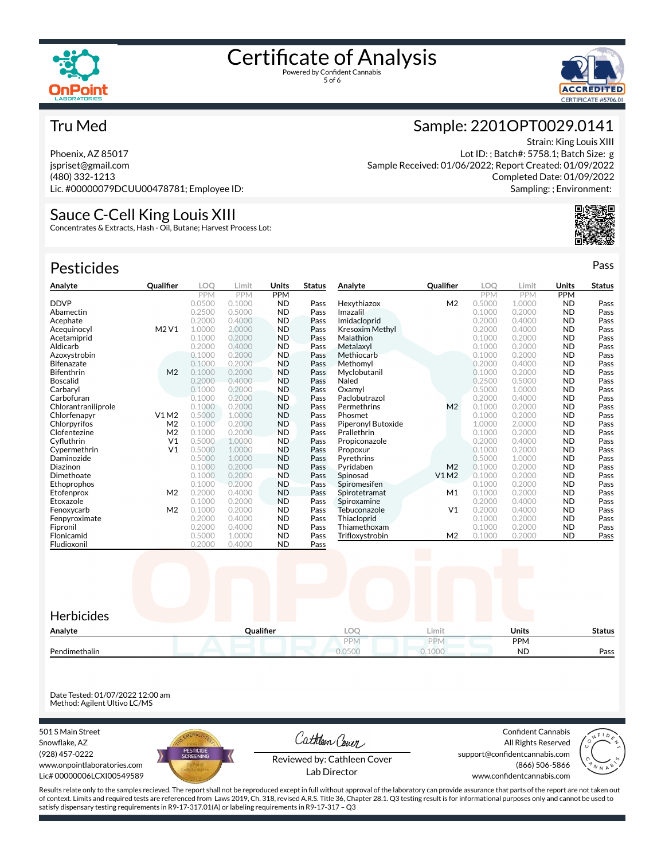



#### Tru Med

Phoenix, AZ 85017 jspriset@gmail.com (480) 332-1213 Lic. #00000079DCUU00478781; Employee ID:

#### Sauce C-Cell King Louis XIII

Concentrates & Extracts, Hash - Oil, Butane; Harvest Process Lot:

| <b>Pesticides</b>   |                |        |        |            |               |                        |                   |            |            |            | Pass          |
|---------------------|----------------|--------|--------|------------|---------------|------------------------|-------------------|------------|------------|------------|---------------|
| Analyte             | Qualifier      | LOO    | Limit  | Units      | <b>Status</b> | Analyte                | Qualifier         | LOO        | Limit      | Units      | <b>Status</b> |
|                     |                | PPM    | PPM    | <b>PPM</b> |               |                        |                   | <b>PPM</b> | <b>PPM</b> | <b>PPM</b> |               |
| <b>DDVP</b>         |                | 0.0500 | 0.1000 | <b>ND</b>  | Pass          | Hexythiazox            | M <sub>2</sub>    | 0.5000     | 1.0000     | <b>ND</b>  | Pass          |
| Abamectin           |                | 0.2500 | 0.5000 | <b>ND</b>  | Pass          | Imazalil               |                   | 0.1000     | 0.2000     | <b>ND</b>  | Pass          |
| Acephate            |                | 0.2000 | 0.4000 | <b>ND</b>  | Pass          | Imidacloprid           |                   | 0.2000     | 0.4000     | <b>ND</b>  | Pass          |
| Acequinocyl         | M2 V1          | 1.0000 | 2,0000 | <b>ND</b>  | Pass          | <b>Kresoxim Methyl</b> |                   | 0.2000     | 0.4000     | <b>ND</b>  | Pass          |
| Acetamiprid         |                | 0.1000 | 0.2000 | <b>ND</b>  | Pass          | Malathion              |                   | 0.1000     | 0.2000     | <b>ND</b>  | Pass          |
| Aldicarb            |                | 0.2000 | 0.4000 | <b>ND</b>  | Pass          | Metalaxyl              |                   | 0.1000     | 0.2000     | <b>ND</b>  | Pass          |
| Azoxystrobin        |                | 0.1000 | 0.2000 | <b>ND</b>  | Pass          | Methiocarb             |                   | 0.1000     | 0.2000     | <b>ND</b>  | Pass          |
| <b>Bifenazate</b>   |                | 0.1000 | 0.2000 | <b>ND</b>  | Pass          | Methomyl               |                   | 0.2000     | 0.4000     | <b>ND</b>  | Pass          |
| Bifenthrin          | M <sub>2</sub> | 0.1000 | 0.2000 | <b>ND</b>  | Pass          | Myclobutanil           |                   | 0.1000     | 0.2000     | <b>ND</b>  | Pass          |
| <b>Boscalid</b>     |                | 0.2000 | 0.4000 | <b>ND</b>  | Pass          | Naled                  |                   | 0.2500     | 0.5000     | <b>ND</b>  | Pass          |
| Carbaryl            |                | 0.1000 | 0.2000 | <b>ND</b>  | Pass          | Oxamvl                 |                   | 0.5000     | 1.0000     | <b>ND</b>  | Pass          |
| Carbofuran          |                | 0.1000 | 0.2000 | <b>ND</b>  | Pass          | Paclobutrazol          |                   | 0.2000     | 0.4000     | <b>ND</b>  | Pass          |
| Chlorantraniliprole |                | 0.1000 | 0.2000 | <b>ND</b>  | Pass          | Permethrins            | M <sub>2</sub>    | 0.1000     | 0.2000     | <b>ND</b>  | Pass          |
| Chlorfenapyr        | V1M2           | 0.5000 | 1.0000 | <b>ND</b>  | Pass          | Phosmet                |                   | 0.1000     | 0.2000     | <b>ND</b>  | Pass          |
| Chlorpyrifos        | M <sub>2</sub> | 0.1000 | 0.2000 | <b>ND</b>  | Pass          | Piperonyl Butoxide     |                   | 1.0000     | 2.0000     | <b>ND</b>  | Pass          |
| Clofentezine        | M <sub>2</sub> | 0.1000 | 0.2000 | <b>ND</b>  | Pass          | Prallethrin            |                   | 0.1000     | 0.2000     | <b>ND</b>  | Pass          |
| Cyfluthrin          | V <sub>1</sub> | 0.5000 | 1.0000 | <b>ND</b>  | Pass          | Propiconazole          |                   | 0.2000     | 0.4000     | <b>ND</b>  | Pass          |
| Cypermethrin        | V <sub>1</sub> | 0.5000 | 1.0000 | <b>ND</b>  | Pass          | Propoxur               |                   | 0.1000     | 0.2000     | <b>ND</b>  | Pass          |
| Daminozide          |                | 0.5000 | 1.0000 | <b>ND</b>  | Pass          | Pyrethrins             |                   | 0.5000     | 1.0000     | <b>ND</b>  | Pass          |
| Diazinon            |                | 0.1000 | 0.2000 | <b>ND</b>  | Pass          | Pyridaben              | M <sub>2</sub>    | 0.1000     | 0.2000     | <b>ND</b>  | Pass          |
| Dimethoate          |                | 0.1000 | 0.2000 | <b>ND</b>  | Pass          | Spinosad               | V1 M2             | 0.1000     | 0.2000     | <b>ND</b>  | Pass          |
| Ethoprophos         |                | 0.1000 | 0.2000 | <b>ND</b>  | Pass          | Spiromesifen           |                   | 0.1000     | 0.2000     | <b>ND</b>  | Pass          |
| Etofenprox          | M <sub>2</sub> | 0.2000 | 0.4000 | <b>ND</b>  | Pass          | Spirotetramat          | M1                | 0.1000     | 0.2000     | <b>ND</b>  | Pass          |
| Etoxazole           |                | 0.1000 | 0.2000 | <b>ND</b>  | Pass          | Spiroxamine            |                   | 0.2000     | 0.4000     | <b>ND</b>  | Pass          |
| Fenoxycarb          | M <sub>2</sub> | 0.1000 | 0.2000 | <b>ND</b>  | Pass          | Tebuconazole           | V <sub>1</sub>    | 0.2000     | 0.4000     | <b>ND</b>  | Pass          |
| Fenpyroximate       |                | 0.2000 | 0.4000 | <b>ND</b>  | Pass          | Thiacloprid            |                   | 0.1000     | 0.2000     | <b>ND</b>  | Pass          |
| Fipronil            |                | 0.2000 | 0.4000 | <b>ND</b>  | Pass          | Thiamethoxam           |                   | 0.1000     | 0.2000     | <b>ND</b>  | Pass          |
| Flonicamid          |                | 0.5000 | 1.0000 | <b>ND</b>  | Pass          | Trifloxystrobin        | M <sub>2</sub>    | 0.1000     | 0.2000     | <b>ND</b>  | Pass          |
| Fludioxonil         |                | 0.2000 | 0.4000 | <b>ND</b>  | Pass          |                        | <b>The Common</b> |            |            |            |               |



Date Tested: 01/07/2022 12:00 am Method: Agilent Ultivo LC/MS

501 S Main Street Snowflake, AZ (928) 457-0222 www.onpointlaboratories.com Lic# 00000006LCXI00549589



Cathleen Cover

Confident Cannabis All Rights Reserved support@confidentcannabis.com (866) 506-5866



Reviewed by: Cathleen Cover Lab Director

www.confidentcannabis.com

Results relate only to the samples recieved. The report shall not be reproduced except in full without approval of the laboratory can provide assurance that parts of the report are not taken out of context. Limits and required tests are referenced from Laws 2019, Ch. 318, revised A.R.S. Title 36, Chapter 28.1. Q3 testing result is for informational purposes only and cannot be used to satisfy dispensary testing requirements in R9-17-317.01(A) or labeling requirements in R9-17-317 – Q3

### Sample: 2201OPT0029.0141

Strain: King Louis XIII Lot ID: ; Batch#: 5758.1; Batch Size: g Sample Received: 01/06/2022; Report Created: 01/09/2022 Completed Date: 01/09/2022 Sampling: ; Environment: